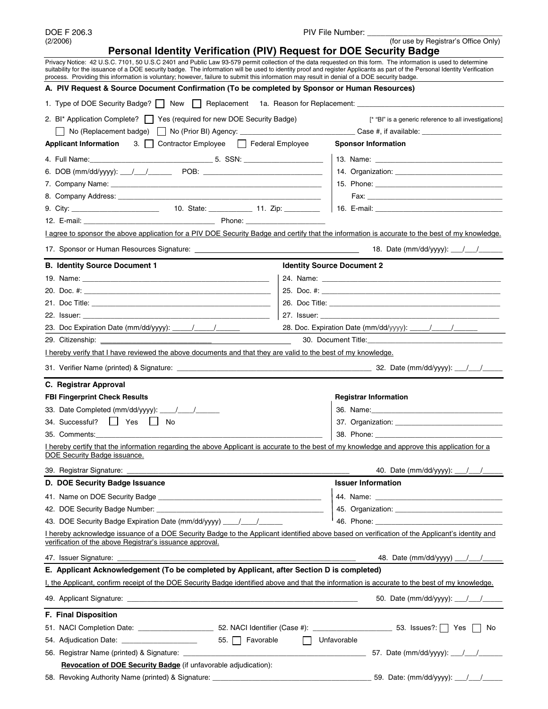| DOE F 206.3<br><b>PIV File</b><br>File Number:<br>____ |  |
|--------------------------------------------------------|--|
|--------------------------------------------------------|--|

(2/2006) (for use by Registrar's Office Only) **Personal Identity Verification (PIV) Request for DOE Security Badge** Privacy Notice: 42 U.S.C. 7101, 50 U.S.C 2401 and Public Law 93-579 permit collection of the data requested on this form. The information is used to determine suitability for the issuance of a DOE security badge. The information will be used to identity proof and register Applicants as part of the Personal Identity Verification process. Providing this information is voluntary; however, failure to submit this information may result in denial of a DOE security badge. **A. PIV Request & Source Document Confirmation (To be completed by Sponsor or Human Resources)**  1. Type of DOE Security Badge?  $\Box$  New  $\Box$  Replacement 1a. Reason for Replacement: \_ 2. BI\* Application Complete? Security Becurity Badge) [\* "BI" is a generic reference to all investigations] No (Replacement badge) No (Prior BI) Agency: \_\_\_\_\_\_\_\_\_\_\_\_\_\_\_\_\_\_\_\_\_\_\_\_\_\_\_\_\_ Case #, if available: \_\_\_\_\_\_\_\_\_\_\_\_\_\_\_\_\_\_\_\_ **Applicant Information** 3. Contractor Employee Federal Employee **Sponsor Information** 4. Full Name:\_\_\_\_\_\_\_\_\_\_\_\_\_\_\_\_\_\_\_\_\_\_\_\_\_\_\_\_\_\_\_ 5. SSN: \_\_\_\_\_\_\_\_\_\_\_\_\_\_\_\_\_\_\_\_ 13. Name: \_\_\_\_\_\_\_\_\_\_\_\_\_\_\_\_\_\_\_\_\_\_\_\_\_\_\_\_\_\_\_\_ 6. DOB (mm/dd/yyyy): \_\_\_/\_\_\_/\_\_\_\_\_\_ POB: \_\_\_\_\_\_\_\_\_\_\_\_\_\_\_\_\_\_\_\_\_\_\_\_\_\_\_\_\_\_ 14. Organization: \_\_\_\_\_\_\_\_\_\_\_\_\_\_\_\_\_\_\_\_\_\_\_\_\_\_\_ 7. Company Name: \_\_\_\_\_\_\_\_\_\_\_\_\_\_\_\_\_\_\_\_\_\_\_\_\_\_\_\_\_\_\_\_\_\_\_\_\_\_\_\_\_\_\_\_\_\_\_\_\_\_\_\_\_ 15. Phone: \_\_\_\_\_\_\_\_\_\_\_\_\_\_\_\_\_\_\_\_\_\_\_\_\_\_\_\_\_\_\_\_ 8. Company Address: \_\_\_\_\_\_\_\_\_\_\_\_\_\_\_\_\_\_\_\_\_\_\_\_\_\_\_\_\_\_\_\_\_\_\_\_\_\_\_\_\_\_\_\_\_\_\_\_\_\_\_ Fax: \_\_\_\_\_\_\_\_\_\_\_\_\_\_\_\_\_\_\_\_\_\_\_\_\_\_\_\_\_\_\_\_\_\_ 9. City: \_\_\_\_\_\_\_\_\_\_\_\_\_\_\_\_\_\_\_\_\_\_ 10. State: \_\_\_\_\_\_\_\_\_\_\_ 11. Zip: \_\_\_\_\_\_\_\_\_ 16. E-mail: \_\_\_\_\_\_\_\_\_\_\_\_\_\_\_\_\_\_\_\_\_\_\_\_\_\_\_\_\_\_\_\_ 12. E-mail: \_\_\_\_\_\_\_\_\_\_\_\_\_\_\_\_\_\_\_\_\_\_\_\_\_\_\_\_\_\_\_\_\_ Phone: \_\_\_\_\_\_\_\_\_\_\_\_\_\_\_\_\_\_\_\_ I agree to sponsor the above application for a PIV DOE Security Badge and certify that the information is accurate to the best of my knowledge. 17. Sponsor or Human Resources Signature: 18. Date (mm/dd/yyyy): \_\_\_/\_\_\_/\_\_\_\_\_\_ **B. Identity Source Document 1 IDENTIFY IDENTIFY IDENTIFY IDENTIFY IDENTIFY IDENTIFY IDENTIFY IDENTIFY** 19. Name: \_\_\_\_\_\_\_\_\_\_\_\_\_\_\_\_\_\_\_\_\_\_\_\_\_\_\_\_\_\_\_\_\_\_\_\_\_\_\_\_\_\_\_\_\_\_\_ 24. Name: \_\_\_\_\_\_\_\_\_\_\_\_\_\_\_\_\_\_\_\_\_\_\_\_\_\_\_\_\_\_\_\_\_\_\_\_\_\_\_\_\_\_\_\_\_ 20. Doc. #: \_\_\_\_\_\_\_\_\_\_\_\_\_\_\_\_\_\_\_\_\_\_\_\_\_\_\_\_\_\_\_\_\_\_\_\_\_\_\_\_\_\_\_\_\_\_\_ 25. Doc. #: \_\_\_\_\_\_\_\_\_\_\_\_\_\_\_\_\_\_\_\_\_\_\_\_\_\_\_\_\_\_\_\_\_\_\_\_\_\_\_\_\_\_\_\_\_ 21. Doc Title: \_\_\_\_\_\_\_\_\_\_\_\_\_\_\_\_\_\_\_\_\_\_\_\_\_\_\_\_\_\_\_\_\_\_\_\_\_\_\_\_\_\_\_\_\_ 26. Doc Title: \_\_\_\_\_\_\_\_\_\_\_\_\_\_\_\_\_\_\_\_\_\_\_\_\_\_\_\_\_\_\_\_\_\_\_\_\_\_\_\_\_\_\_ 22. Issuer: \_\_\_\_\_\_\_\_\_\_\_\_\_\_\_\_\_\_\_\_\_\_\_\_\_\_\_\_\_\_\_\_\_\_\_\_\_\_\_\_\_\_\_\_\_\_\_ 27. Issuer: \_\_\_\_\_\_\_\_\_\_\_\_\_\_\_\_\_\_\_\_\_\_\_\_\_\_\_\_\_\_\_\_\_\_\_\_\_\_\_\_\_\_\_\_\_ 23. Doc Expiration Date (mm/dd/yyyy): \_\_\_\_\_/\_\_\_\_\_/\_\_\_\_\_\_ 28. Doc. Expiration Date (mm/dd/yyyy): \_\_\_\_\_/\_\_\_\_\_/ 29. Citizenship: \_\_\_\_\_\_\_\_\_\_\_\_\_\_\_\_\_\_\_\_\_\_\_\_\_\_\_\_ 30. Document Title:\_\_\_\_\_\_\_\_\_\_\_\_\_\_\_\_\_\_\_\_\_\_\_\_\_\_\_\_\_\_\_\_\_\_ I hereby verify that I have reviewed the above documents and that they are valid to the best of my knowledge. 31. Verifier Name (printed) & Signature: \_\_\_\_\_\_\_\_\_\_\_\_\_\_\_\_\_\_\_\_\_\_\_\_\_\_\_\_\_\_\_\_\_\_\_\_\_\_\_\_\_\_\_\_\_\_\_\_\_ 32. Date (mm/dd/yyyy): \_\_\_/\_\_\_/\_\_\_\_\_ **C. Registrar Approval FBI Fingerprint Check Results All and Structure Check Results Registrar Information** 33. Date Completed (mm/dd/yyyy): \_\_\_\_/\_\_\_\_/\_\_\_\_\_\_ 36. Name:\_\_\_\_\_\_\_\_\_\_\_\_\_\_\_\_\_\_\_\_\_\_\_\_\_\_\_\_\_\_\_\_\_ 34. Successful?  $\Box$  Yes  $\Box$  No  $\Box$  37. Organization: 35. Comments:\_\_\_\_\_\_\_\_\_\_\_\_\_\_\_\_\_\_\_\_\_\_\_\_\_\_\_\_\_\_\_\_\_\_\_\_\_\_\_\_\_\_\_\_\_\_\_\_\_\_\_\_\_\_\_\_\_ 38. Phone: \_\_\_\_\_\_\_\_\_\_\_\_\_\_\_\_\_\_\_\_\_\_\_\_\_\_\_\_\_\_\_\_ I hereby certify that the information regarding the above Applicant is accurate to the best of my knowledge and approve this application for a DOE Security Badge issuance. 39. Registrar Signature: \_\_\_\_\_\_\_\_\_\_\_\_\_\_\_\_\_\_\_\_\_\_\_\_\_\_\_\_\_\_\_\_\_\_\_\_\_\_\_\_\_\_\_\_\_\_\_\_\_\_\_\_\_\_\_\_ 40. Date (mm/dd/yyyy): \_\_\_/\_\_\_/\_\_\_\_\_ **D. DOE Security Badge Issuance Interval and Security Badge Issuer Information issuer Information** 41. Name on DOE Security Badge \_\_\_\_\_\_\_\_\_\_\_\_\_\_\_\_\_\_\_\_\_\_\_\_\_\_\_\_\_\_\_\_\_\_\_\_\_\_\_\_\_ 44. Name: \_\_\_\_\_\_\_\_\_\_\_\_\_\_\_\_\_\_\_\_\_\_\_\_\_\_\_\_\_\_\_\_ 42. DOE Security Badge Number: \_\_\_\_\_\_\_\_\_\_\_\_\_\_\_\_\_\_\_\_\_\_\_\_\_\_\_\_\_\_\_\_\_\_\_\_\_\_\_\_\_\_ 45. Organization: \_\_\_\_\_\_\_\_\_\_\_\_\_\_\_\_\_\_\_\_\_\_\_\_\_\_\_ 43. DOE Security Badge Expiration Date (mm/dd/yyyy) \_\_\_\_/\_\_\_\_/\_\_\_\_\_\_ 46. Phone: \_\_\_\_\_\_\_\_\_\_\_\_\_\_\_\_\_\_\_\_\_\_\_\_\_\_\_\_\_\_\_\_ I hereby acknowledge issuance of a DOE Security Badge to the Applicant identified above based on verification of the Applicant's identity and verification of the above Registrar's issuance approval. 47. Issuer Signature: \_\_\_\_\_\_\_\_\_\_\_\_\_\_\_\_\_\_\_\_\_\_\_\_\_\_\_\_\_\_\_\_\_\_\_\_\_\_\_\_\_\_\_\_\_\_\_\_\_\_\_\_\_\_\_\_\_\_\_\_ 48. Date (mm/dd/yyyy) \_\_\_/\_\_\_/\_\_\_\_\_ **E. Applicant Acknowledgement (To be completed by Applicant, after Section D is completed)** I, the Applicant, confirm receipt of the DOE Security Badge identified above and that the information is accurate to the best of my knowledge. 49. Applicant Signature: \_\_\_\_\_\_\_\_\_\_\_\_\_\_\_\_\_\_\_\_\_\_\_\_\_\_\_\_\_\_\_\_\_\_\_\_\_\_\_\_\_\_\_\_\_\_\_\_\_\_\_\_\_\_\_\_\_\_ 50. Date (mm/dd/yyyy): \_\_\_/\_\_\_/\_\_\_\_\_ **F. Final Disposition** 

|                                                                        | 51. NACI Completion Date:                          | 52. NACI Identifier (Case #): |             | 53. Issues?:   Yes   No              |
|------------------------------------------------------------------------|----------------------------------------------------|-------------------------------|-------------|--------------------------------------|
|                                                                        | 54. Adjudication Date:                             | 55.   Favorable               | Unfavorable |                                      |
|                                                                        | 56. Registrar Name (printed) & Signature:          |                               |             | 57. Date (mm/dd/yyyy): $\frac{1}{2}$ |
| <b>Revocation of DOE Security Badge (if unfavorable adjudication):</b> |                                                    |                               |             |                                      |
|                                                                        | 58. Revoking Authority Name (printed) & Signature: |                               |             |                                      |